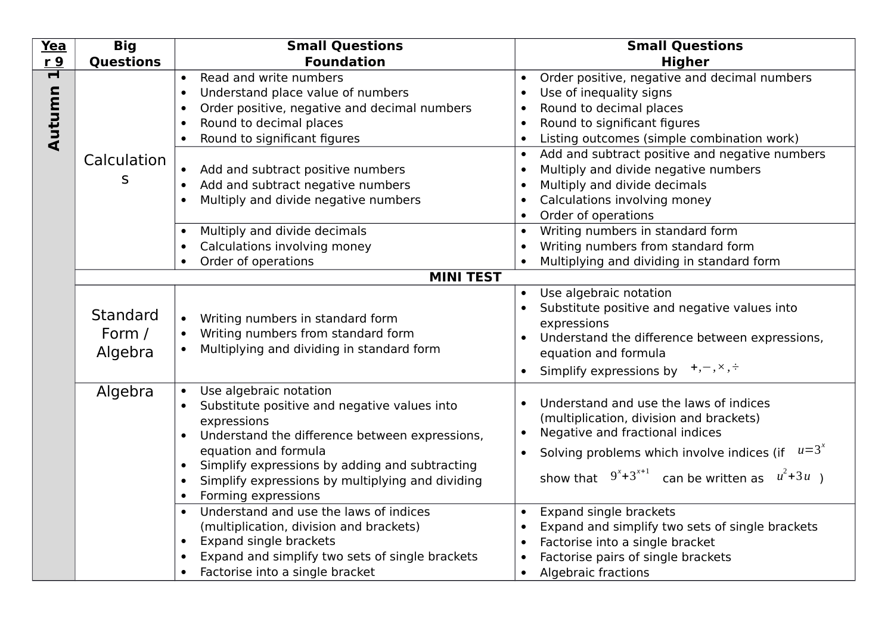| Yea                               | <b>Big</b>                    | <b>Small Questions</b>                                                                                                                                                                                                                                                                                                                                                                                                                                                        | <b>Small Questions</b>                                                                                                                                                                                                                                                                                                                                                                                                                                                                                                                                                                                  |
|-----------------------------------|-------------------------------|-------------------------------------------------------------------------------------------------------------------------------------------------------------------------------------------------------------------------------------------------------------------------------------------------------------------------------------------------------------------------------------------------------------------------------------------------------------------------------|---------------------------------------------------------------------------------------------------------------------------------------------------------------------------------------------------------------------------------------------------------------------------------------------------------------------------------------------------------------------------------------------------------------------------------------------------------------------------------------------------------------------------------------------------------------------------------------------------------|
| r <sub>9</sub>                    | <b>Questions</b>              | <b>Foundation</b>                                                                                                                                                                                                                                                                                                                                                                                                                                                             | <b>Higher</b>                                                                                                                                                                                                                                                                                                                                                                                                                                                                                                                                                                                           |
| $\overline{\mathbf{r}}$<br>Autumn | Calculation<br>S              | Read and write numbers<br>$\bullet$<br>Understand place value of numbers<br>$\bullet$<br>Order positive, negative and decimal numbers<br>$\bullet$<br>Round to decimal places<br>$\bullet$<br>Round to significant figures<br>$\bullet$<br>Add and subtract positive numbers<br>Add and subtract negative numbers<br>$\bullet$<br>Multiply and divide negative numbers<br>$\bullet$<br>Multiply and divide decimals<br>$\bullet$<br>Calculations involving money<br>$\bullet$ | Order positive, negative and decimal numbers<br>$\bullet$<br>Use of inequality signs<br>$\bullet$<br>Round to decimal places<br>$\bullet$<br>Round to significant figures<br>$\bullet$<br>Listing outcomes (simple combination work)<br>$\bullet$<br>Add and subtract positive and negative numbers<br>$\bullet$<br>Multiply and divide negative numbers<br>$\bullet$<br>Multiply and divide decimals<br>$\bullet$<br>Calculations involving money<br>$\bullet$<br>Order of operations<br>$\bullet$<br>Writing numbers in standard form<br>$\bullet$<br>Writing numbers from standard form<br>$\bullet$ |
|                                   |                               | Order of operations<br>$\bullet$                                                                                                                                                                                                                                                                                                                                                                                                                                              | Multiplying and dividing in standard form                                                                                                                                                                                                                                                                                                                                                                                                                                                                                                                                                               |
|                                   |                               | <b>MINI TEST</b>                                                                                                                                                                                                                                                                                                                                                                                                                                                              |                                                                                                                                                                                                                                                                                                                                                                                                                                                                                                                                                                                                         |
|                                   | Standard<br>Form /<br>Algebra | Writing numbers in standard form<br>$\bullet$<br>Writing numbers from standard form<br>Multiplying and dividing in standard form                                                                                                                                                                                                                                                                                                                                              | Use algebraic notation<br>$\bullet$<br>Substitute positive and negative values into<br>expressions<br>Understand the difference between expressions,<br>$\bullet$<br>equation and formula<br>Simplify expressions by $+, -, \times, \div$                                                                                                                                                                                                                                                                                                                                                               |
|                                   | Algebra                       | Use algebraic notation<br>$\bullet$<br>Substitute positive and negative values into<br>expressions<br>Understand the difference between expressions,<br>equation and formula<br>Simplify expressions by adding and subtracting<br>$\bullet$<br>Simplify expressions by multiplying and dividing<br>$\bullet$<br>Forming expressions<br>$\bullet$                                                                                                                              | Understand and use the laws of indices<br>$\bullet$<br>(multiplication, division and brackets)<br>Negative and fractional indices<br>$\bullet$<br>Solving problems which involve indices (if $u=3^x$<br>$\bullet$<br>show that $9^{x}+3^{x+1}$<br>can be written as $u^2+3u$ )                                                                                                                                                                                                                                                                                                                          |
|                                   |                               | Understand and use the laws of indices<br>$\bullet$<br>(multiplication, division and brackets)<br><b>Expand single brackets</b><br>$\bullet$<br>Expand and simplify two sets of single brackets<br>$\bullet$<br>Factorise into a single bracket<br>$\bullet$                                                                                                                                                                                                                  | Expand single brackets<br>$\bullet$<br>Expand and simplify two sets of single brackets<br>$\bullet$<br>Factorise into a single bracket<br>$\bullet$<br>Factorise pairs of single brackets<br>$\bullet$<br><b>Algebraic fractions</b><br>$\bullet$                                                                                                                                                                                                                                                                                                                                                       |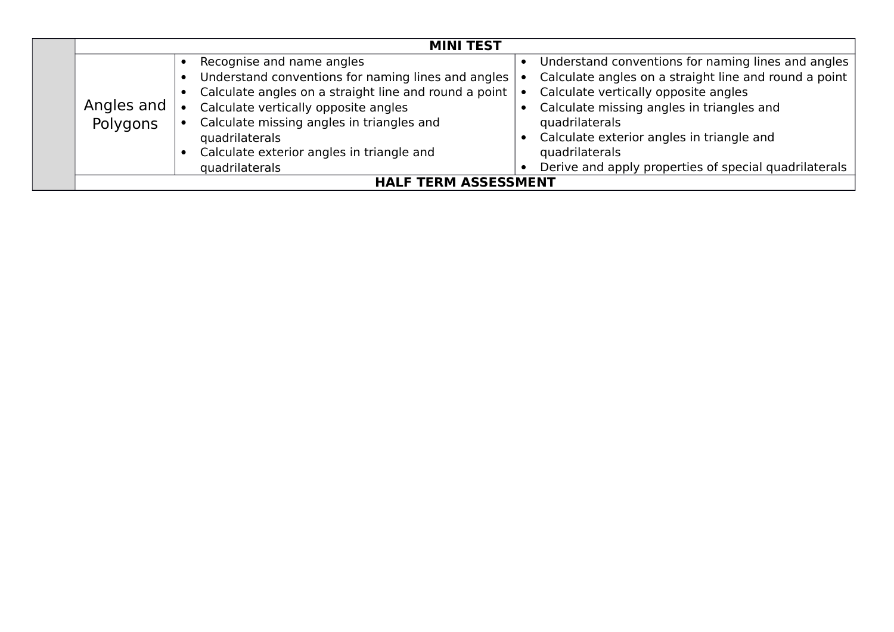| <b>MINI TEST</b> |                                                       |                                                       |
|------------------|-------------------------------------------------------|-------------------------------------------------------|
|                  | Recognise and name angles                             | Understand conventions for naming lines and angles    |
|                  | Understand conventions for naming lines and angles    | Calculate angles on a straight line and round a point |
|                  | Calculate angles on a straight line and round a point | Calculate vertically opposite angles                  |
| Angles and       | Calculate vertically opposite angles                  | Calculate missing angles in triangles and             |
| Polygons         | Calculate missing angles in triangles and             | quadrilaterals                                        |
|                  | quadrilaterals                                        | Calculate exterior angles in triangle and             |
|                  | Calculate exterior angles in triangle and             | quadrilaterals                                        |
|                  | quadrilaterals                                        | Derive and apply properties of special quadrilaterals |
|                  | <b>HALF TERM ASSESSMENT</b>                           |                                                       |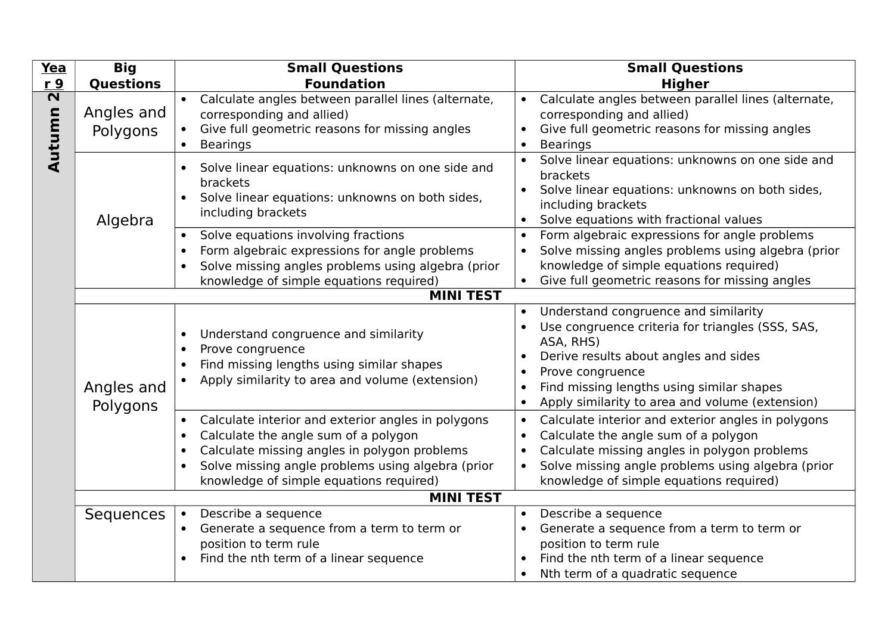| Yea                               | <b>Big</b>             | <b>Small Questions</b>                                                                                                                                                                                                                                                                         | <b>Small Questions</b>                                                                                                                                                                                                                                                                                                 |
|-----------------------------------|------------------------|------------------------------------------------------------------------------------------------------------------------------------------------------------------------------------------------------------------------------------------------------------------------------------------------|------------------------------------------------------------------------------------------------------------------------------------------------------------------------------------------------------------------------------------------------------------------------------------------------------------------------|
| <u>r 9</u>                        | <b>Questions</b>       | <b>Foundation</b>                                                                                                                                                                                                                                                                              | <b>Higher</b>                                                                                                                                                                                                                                                                                                          |
| $\overline{\mathbf{N}}$<br>Autumn | Angles and<br>Polygons | Calculate angles between parallel lines (alternate,<br>corresponding and allied)<br>Give full geometric reasons for missing angles<br><b>Bearings</b>                                                                                                                                          | Calculate angles between parallel lines (alternate,<br>corresponding and allied)<br>Give full geometric reasons for missing angles<br>$\bullet$<br><b>Bearings</b><br>$\bullet$                                                                                                                                        |
|                                   | Algebra                | Solve linear equations: unknowns on one side and<br>$\bullet$<br>brackets<br>Solve linear equations: unknowns on both sides,<br>$\bullet$<br>including brackets                                                                                                                                | Solve linear equations: unknowns on one side and<br>brackets<br>Solve linear equations: unknowns on both sides,<br>including brackets<br>Solve equations with fractional values<br>$\bullet$                                                                                                                           |
|                                   |                        | Solve equations involving fractions<br>Form algebraic expressions for angle problems<br>$\bullet$<br>Solve missing angles problems using algebra (prior<br>$\bullet$<br>knowledge of simple equations required)<br><b>MINI TEST</b>                                                            | Form algebraic expressions for angle problems<br>$\bullet$<br>Solve missing angles problems using algebra (prior<br>knowledge of simple equations required)<br>Give full geometric reasons for missing angles                                                                                                          |
|                                   | Angles and<br>Polygons | Understand congruence and similarity<br>$\bullet$<br>Prove congruence<br>$\bullet$<br>Find missing lengths using similar shapes<br>$\bullet$<br>Apply similarity to area and volume (extension)                                                                                                | Understand congruence and similarity<br>$\bullet$<br>Use congruence criteria for triangles (SSS, SAS,<br>ASA, RHS)<br>Derive results about angles and sides<br>Prove congruence<br>$\bullet$<br>Find missing lengths using similar shapes<br>$\bullet$<br>Apply similarity to area and volume (extension)<br>$\bullet$ |
|                                   |                        | Calculate interior and exterior angles in polygons<br>$\bullet$<br>Calculate the angle sum of a polygon<br>$\bullet$<br>Calculate missing angles in polygon problems<br>$\bullet$<br>Solve missing angle problems using algebra (prior<br>$\bullet$<br>knowledge of simple equations required) | Calculate interior and exterior angles in polygons<br>$\bullet$<br>Calculate the angle sum of a polygon<br>$\bullet$<br>Calculate missing angles in polygon problems<br>Solve missing angle problems using algebra (prior<br>$\bullet$<br>knowledge of simple equations required)                                      |
|                                   |                        | <b>MINI TEST</b>                                                                                                                                                                                                                                                                               |                                                                                                                                                                                                                                                                                                                        |
|                                   | Sequences              | Describe a sequence<br>$\bullet$<br>Generate a sequence from a term to term or<br>$\bullet$<br>position to term rule<br>Find the nth term of a linear sequence<br>$\bullet$                                                                                                                    | Describe a sequence<br>Generate a sequence from a term to term or<br>$\bullet$<br>position to term rule<br>Find the nth term of a linear sequence<br>Nth term of a quadratic sequence<br>$\bullet$                                                                                                                     |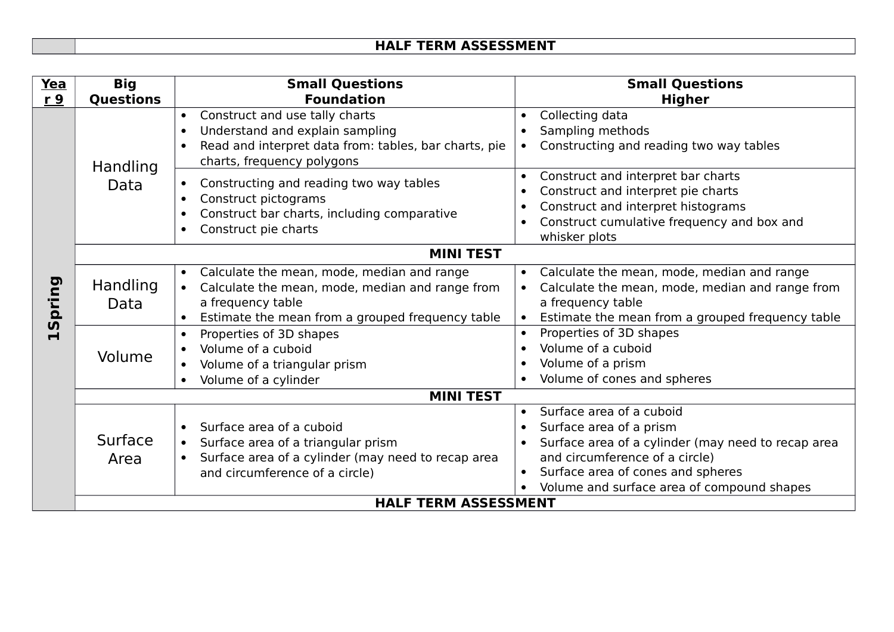| Yea               | <b>Big</b>                  | <b>Small Questions</b>                                                                                                                                                                                        | <b>Small Questions</b>                                                                                                                                                                                                                      |
|-------------------|-----------------------------|---------------------------------------------------------------------------------------------------------------------------------------------------------------------------------------------------------------|---------------------------------------------------------------------------------------------------------------------------------------------------------------------------------------------------------------------------------------------|
| r 9               | <b>Questions</b>            | <b>Foundation</b>                                                                                                                                                                                             | <b>Higher</b>                                                                                                                                                                                                                               |
|                   | Handling<br>Data            | Construct and use tally charts<br>Understand and explain sampling<br>$\bullet$<br>Read and interpret data from: tables, bar charts, pie<br>$\bullet$<br>charts, frequency polygons                            | Collecting data<br>$\bullet$<br>Sampling methods<br>$\bullet$<br>Constructing and reading two way tables<br>$\bullet$                                                                                                                       |
|                   |                             | Constructing and reading two way tables<br>$\bullet$<br>Construct pictograms<br>$\bullet$<br>Construct bar charts, including comparative<br>$\bullet$<br>Construct pie charts<br>$\bullet$                    | Construct and interpret bar charts<br>$\bullet$<br>Construct and interpret pie charts<br>$\bullet$<br>Construct and interpret histograms<br>$\bullet$<br>Construct cumulative frequency and box and<br>$\bullet$<br>whisker plots           |
|                   | <b>MINI TEST</b>            |                                                                                                                                                                                                               |                                                                                                                                                                                                                                             |
| pring<br><b>S</b> | <b>Handling</b><br>Data     | Calculate the mean, mode, median and range<br>$\bullet$<br>Calculate the mean, mode, median and range from<br>$\bullet$<br>a frequency table<br>Estimate the mean from a grouped frequency table<br>$\bullet$ | Calculate the mean, mode, median and range<br>$\bullet$<br>Calculate the mean, mode, median and range from<br>$\bullet$<br>a frequency table<br>Estimate the mean from a grouped frequency table<br>$\bullet$                               |
|                   | Volume                      | Properties of 3D shapes<br>$\bullet$<br>Volume of a cuboid<br>Volume of a triangular prism<br>$\bullet$<br>Volume of a cylinder<br>$\bullet$                                                                  | Properties of 3D shapes<br>$\bullet$<br>Volume of a cuboid<br>Volume of a prism<br>Volume of cones and spheres                                                                                                                              |
|                   | <b>MINI TEST</b>            |                                                                                                                                                                                                               |                                                                                                                                                                                                                                             |
|                   | Surface<br>Area             | Surface area of a cuboid<br>$\bullet$<br>Surface area of a triangular prism<br>$\bullet$<br>Surface area of a cylinder (may need to recap area<br>$\bullet$<br>and circumference of a circle)                 | Surface area of a cuboid<br>$\bullet$<br>Surface area of a prism<br>Surface area of a cylinder (may need to recap area<br>and circumference of a circle)<br>Surface area of cones and spheres<br>Volume and surface area of compound shapes |
|                   | <b>HALF TERM ASSESSMENT</b> |                                                                                                                                                                                                               |                                                                                                                                                                                                                                             |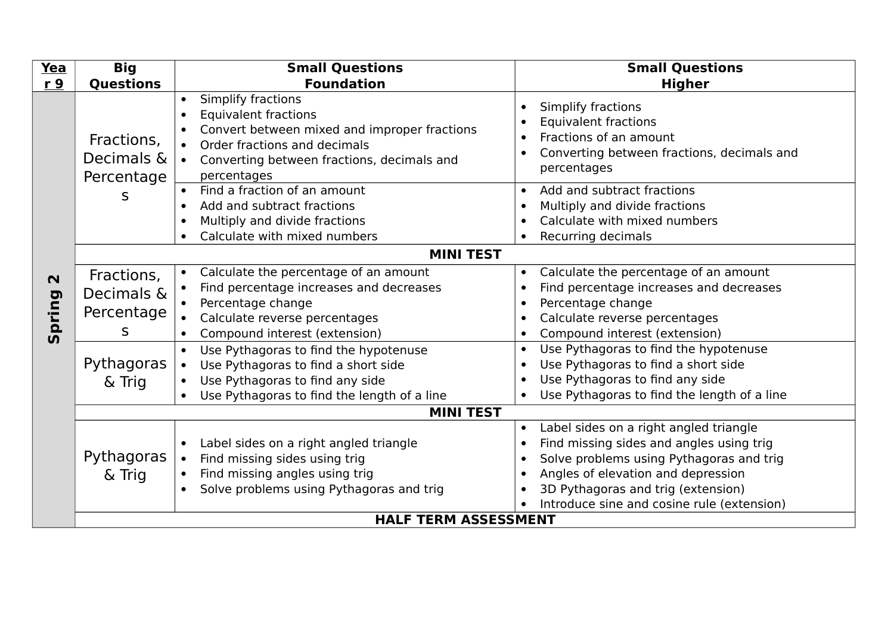| Yea                              | <b>Big</b>                                                          | <b>Small Questions</b>                                                                                                                                                                                                                                                                                                                                                           | <b>Small Questions</b>                                                                                                                                                                                                                                                                                                                                                                                                                            |
|----------------------------------|---------------------------------------------------------------------|----------------------------------------------------------------------------------------------------------------------------------------------------------------------------------------------------------------------------------------------------------------------------------------------------------------------------------------------------------------------------------|---------------------------------------------------------------------------------------------------------------------------------------------------------------------------------------------------------------------------------------------------------------------------------------------------------------------------------------------------------------------------------------------------------------------------------------------------|
| r <sub>9</sub>                   | <b>Questions</b>                                                    | <b>Foundation</b>                                                                                                                                                                                                                                                                                                                                                                | <b>Higher</b>                                                                                                                                                                                                                                                                                                                                                                                                                                     |
|                                  | Fractions,<br>Decimals &<br>Percentage                              | Simplify fractions<br>$\bullet$<br><b>Equivalent fractions</b><br>$\bullet$<br>Convert between mixed and improper fractions<br>Order fractions and decimals<br>Converting between fractions, decimals and<br>percentages                                                                                                                                                         | Simplify fractions<br>$\bullet$<br><b>Equivalent fractions</b><br>$\bullet$<br>Fractions of an amount<br>$\bullet$<br>Converting between fractions, decimals and<br>$\bullet$<br>percentages                                                                                                                                                                                                                                                      |
|                                  | S                                                                   | Find a fraction of an amount<br>Add and subtract fractions<br>Multiply and divide fractions<br>$\bullet$<br>Calculate with mixed numbers                                                                                                                                                                                                                                         | Add and subtract fractions<br>$\bullet$<br>Multiply and divide fractions<br>$\bullet$<br>Calculate with mixed numbers<br>$\bullet$<br>Recurring decimals<br>$\bullet$                                                                                                                                                                                                                                                                             |
|                                  |                                                                     | <b>MINI TEST</b>                                                                                                                                                                                                                                                                                                                                                                 |                                                                                                                                                                                                                                                                                                                                                                                                                                                   |
| $\mathbf N$<br>pring<br><b>5</b> | Fractions,<br>Decimals &<br>Percentage<br>S<br>Pythagoras<br>& Trig | Calculate the percentage of an amount<br>Find percentage increases and decreases<br>Percentage change<br>Calculate reverse percentages<br>Compound interest (extension)<br>$\bullet$<br>Use Pythagoras to find the hypotenuse<br>Use Pythagoras to find a short side<br>$\bullet$<br>Use Pythagoras to find any side<br>Use Pythagoras to find the length of a line<br>$\bullet$ | Calculate the percentage of an amount<br>$\bullet$<br>Find percentage increases and decreases<br>$\bullet$<br>Percentage change<br>$\bullet$<br>Calculate reverse percentages<br>$\bullet$<br>Compound interest (extension)<br>$\bullet$<br>Use Pythagoras to find the hypotenuse<br>$\bullet$<br>Use Pythagoras to find a short side<br>$\bullet$<br>Use Pythagoras to find any side<br>Use Pythagoras to find the length of a line<br>$\bullet$ |
|                                  |                                                                     | <b>MINI TEST</b>                                                                                                                                                                                                                                                                                                                                                                 |                                                                                                                                                                                                                                                                                                                                                                                                                                                   |
|                                  | Pythagoras<br>& Trig                                                | Label sides on a right angled triangle<br>$\bullet$<br>Find missing sides using trig<br>$\bullet$<br>Find missing angles using trig<br>Solve problems using Pythagoras and trig<br>$\bullet$                                                                                                                                                                                     | Label sides on a right angled triangle<br>$\bullet$<br>Find missing sides and angles using trig<br>$\bullet$<br>Solve problems using Pythagoras and trig<br>$\bullet$<br>Angles of elevation and depression<br>$\bullet$<br>3D Pythagoras and trig (extension)<br>$\bullet$<br>Introduce sine and cosine rule (extension)<br>$\bullet$                                                                                                            |
|                                  | <b>HALF TERM ASSESSMENT</b>                                         |                                                                                                                                                                                                                                                                                                                                                                                  |                                                                                                                                                                                                                                                                                                                                                                                                                                                   |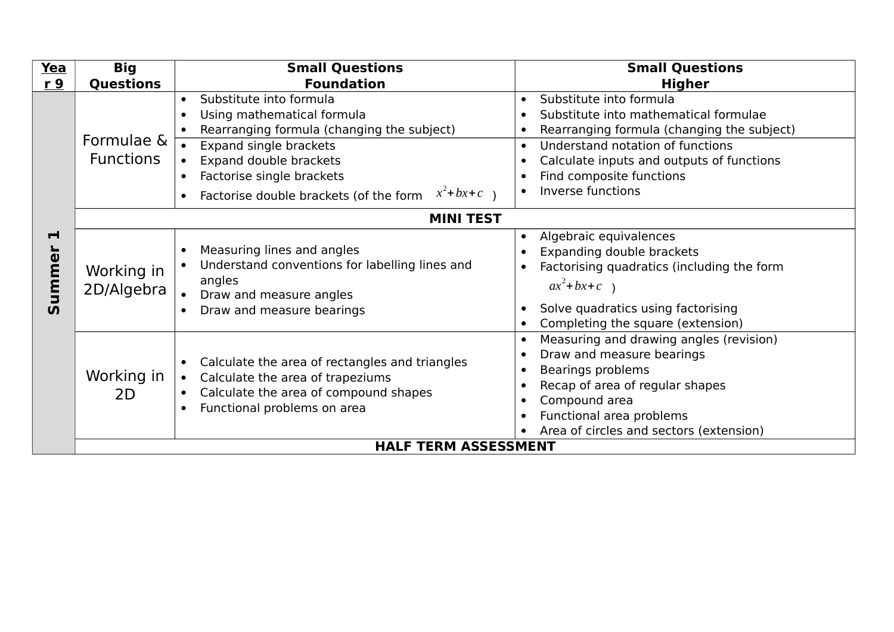| Yea                                 | <b>Big</b>                     | <b>Small Questions</b>                                                                                                                                                                                                                                                                | <b>Small Questions</b>                                                                                                                                                                                                                                                                                                         |
|-------------------------------------|--------------------------------|---------------------------------------------------------------------------------------------------------------------------------------------------------------------------------------------------------------------------------------------------------------------------------------|--------------------------------------------------------------------------------------------------------------------------------------------------------------------------------------------------------------------------------------------------------------------------------------------------------------------------------|
| r <sub>9</sub>                      | <b>Questions</b>               | <b>Foundation</b>                                                                                                                                                                                                                                                                     | <b>Higher</b>                                                                                                                                                                                                                                                                                                                  |
|                                     | Formulae &<br><b>Functions</b> | Substitute into formula<br>$\bullet$<br>Using mathematical formula<br>$\bullet$<br>Rearranging formula (changing the subject)<br>Expand single brackets<br>Expand double brackets<br>Factorise single brackets<br>$x^2$ +bx+c)<br>Factorise double brackets (of the form<br>$\bullet$ | Substitute into formula<br>$\bullet$<br>Substitute into mathematical formulae<br>$\bullet$<br>Rearranging formula (changing the subject)<br>$\bullet$<br>Understand notation of functions<br>$\bullet$<br>Calculate inputs and outputs of functions<br>$\bullet$<br>Find composite functions<br>Inverse functions<br>$\bullet$ |
|                                     |                                | <b>MINI TEST</b>                                                                                                                                                                                                                                                                      |                                                                                                                                                                                                                                                                                                                                |
| $\blacksquare$<br>umme<br>$\bar{v}$ | Working in<br>2D/Algebra       | Measuring lines and angles<br>$\bullet$<br>Understand conventions for labelling lines and<br>angles<br>Draw and measure angles<br>Draw and measure bearings<br>$\bullet$                                                                                                              | Algebraic equivalences<br>$\bullet$<br>Expanding double brackets<br>$\bullet$<br>Factorising quadratics (including the form<br>$\bullet$<br>$ax^2+bx+c$ )<br>Solve quadratics using factorising<br>$\bullet$<br>Completing the square (extension)<br>$\bullet$                                                                 |
|                                     | Working in<br>2D               | Calculate the area of rectangles and triangles<br>$\bullet$<br>Calculate the area of trapeziums<br>$\bullet$<br>Calculate the area of compound shapes<br>Functional problems on area<br>$\bullet$                                                                                     | Measuring and drawing angles (revision)<br>$\bullet$<br>Draw and measure bearings<br>$\bullet$<br>Bearings problems<br>$\bullet$<br>Recap of area of regular shapes<br>$\bullet$<br>Compound area<br>$\bullet$<br>Functional area problems<br>$\bullet$<br>Area of circles and sectors (extension)                             |
|                                     |                                | <b>HALF TERM ASSESSMENT</b>                                                                                                                                                                                                                                                           |                                                                                                                                                                                                                                                                                                                                |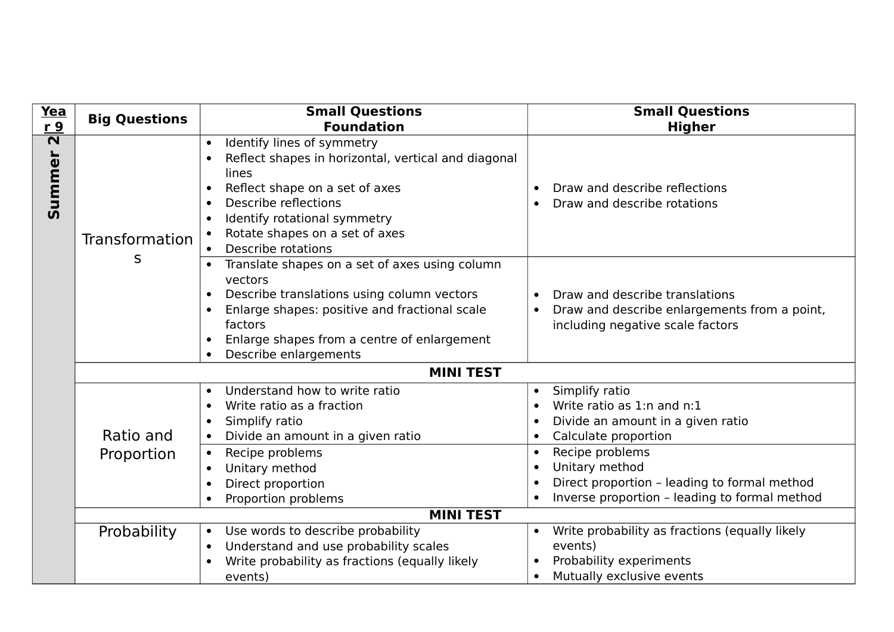| <b>Yea</b>                        | <b>Big Questions</b> | <b>Small Questions</b>                                                                                                                                                                                                                                                 | <b>Small Questions</b>                                                                                                                                       |
|-----------------------------------|----------------------|------------------------------------------------------------------------------------------------------------------------------------------------------------------------------------------------------------------------------------------------------------------------|--------------------------------------------------------------------------------------------------------------------------------------------------------------|
| r9                                |                      | <b>Foundation</b>                                                                                                                                                                                                                                                      | <b>Higher</b>                                                                                                                                                |
| $\overline{\mathbf{N}}$<br>Summer | Transformation       | Identify lines of symmetry<br>Reflect shapes in horizontal, vertical and diagonal<br>lines<br>Reflect shape on a set of axes<br>$\bullet$<br>Describe reflections<br>$\bullet$<br>Identify rotational symmetry<br>Rotate shapes on a set of axes<br>Describe rotations | Draw and describe reflections<br>$\bullet$<br>Draw and describe rotations                                                                                    |
|                                   | S                    | Translate shapes on a set of axes using column<br>vectors<br>Describe translations using column vectors<br>$\bullet$<br>Enlarge shapes: positive and fractional scale<br>factors<br>Enlarge shapes from a centre of enlargement<br>Describe enlargements               | Draw and describe translations<br>Draw and describe enlargements from a point,<br>$\bullet$<br>including negative scale factors                              |
|                                   |                      | <b>MINI TEST</b>                                                                                                                                                                                                                                                       |                                                                                                                                                              |
|                                   | Ratio and            | Understand how to write ratio<br>$\bullet$<br>Write ratio as a fraction<br>Simplify ratio<br>Divide an amount in a given ratio<br>$\bullet$                                                                                                                            | Simplify ratio<br>Write ratio as 1:n and n:1<br>Divide an amount in a given ratio<br>Calculate proportion<br>$\bullet$                                       |
|                                   | Proportion           | Recipe problems<br>$\bullet$<br>Unitary method<br>Direct proportion<br>Proportion problems                                                                                                                                                                             | Recipe problems<br>$\bullet$<br>Unitary method<br>$\bullet$<br>Direct proportion - leading to formal method<br>Inverse proportion - leading to formal method |
|                                   |                      | <b>MINI TEST</b>                                                                                                                                                                                                                                                       |                                                                                                                                                              |
|                                   | Probability          | Use words to describe probability<br>$\bullet$<br>Understand and use probability scales<br>Write probability as fractions (equally likely<br>events)                                                                                                                   | Write probability as fractions (equally likely<br>events)<br>Probability experiments<br>Mutually exclusive events                                            |